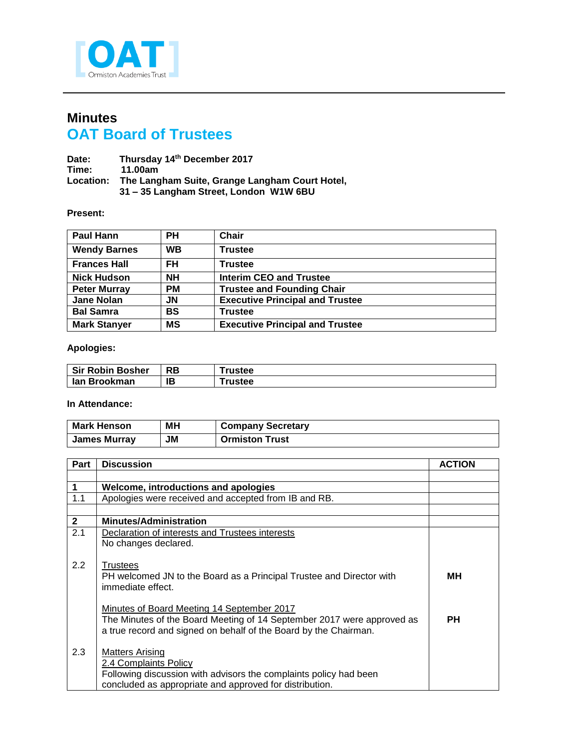

## **Minutes OAT Board of Trustees**

| Thursday 14th December 2017                                                              |
|------------------------------------------------------------------------------------------|
| 11.00am                                                                                  |
| The Langham Suite, Grange Langham Court Hotel,<br>31 – 35 Langham Street, London W1W 6BU |
|                                                                                          |

## **Present:**

| Paul Hann           | <b>PH</b> | <b>Chair</b>                           |
|---------------------|-----------|----------------------------------------|
| <b>Wendy Barnes</b> | <b>WB</b> | <b>Trustee</b>                         |
| <b>Frances Hall</b> | <b>FH</b> | <b>Trustee</b>                         |
| <b>Nick Hudson</b>  | <b>NH</b> | <b>Interim CEO and Trustee</b>         |
| <b>Peter Murray</b> | <b>PM</b> | <b>Trustee and Founding Chair</b>      |
| <b>Jane Nolan</b>   | JN        | <b>Executive Principal and Trustee</b> |
| <b>Bal Samra</b>    | <b>BS</b> | <b>Trustee</b>                         |
| <b>Mark Stanyer</b> | <b>MS</b> | <b>Executive Principal and Trustee</b> |

## **Apologies:**

| <b>Sir Robin Bosher</b> | RB | ™ustee |
|-------------------------|----|--------|
| lan Brookman            | ΙB | ™ustee |

## **In Attendance:**

| <b>Mark Henson</b> | MН | <b>Company Secretary</b> |
|--------------------|----|--------------------------|
| James Murray       | JM | <b>Ormiston Trust</b>    |

| Part          | <b>Discussion</b>                                                      | <b>ACTION</b> |
|---------------|------------------------------------------------------------------------|---------------|
|               |                                                                        |               |
|               | Welcome, introductions and apologies                                   |               |
| 1.1           | Apologies were received and accepted from IB and RB.                   |               |
|               |                                                                        |               |
| $\mathbf{2}$  | <b>Minutes/Administration</b>                                          |               |
| 2.1           | Declaration of interests and Trustees interests                        |               |
|               | No changes declared.                                                   |               |
|               |                                                                        |               |
| $2.2^{\circ}$ | Trustees                                                               |               |
|               | PH welcomed JN to the Board as a Principal Trustee and Director with   | MН            |
|               | immediate effect.                                                      |               |
|               |                                                                        |               |
|               | Minutes of Board Meeting 14 September 2017                             |               |
|               | The Minutes of the Board Meeting of 14 September 2017 were approved as | <b>PH</b>     |
|               | a true record and signed on behalf of the Board by the Chairman.       |               |
|               |                                                                        |               |
| 2.3           | <b>Matters Arising</b>                                                 |               |
|               | 2.4 Complaints Policy                                                  |               |
|               | Following discussion with advisors the complaints policy had been      |               |
|               | concluded as appropriate and approved for distribution.                |               |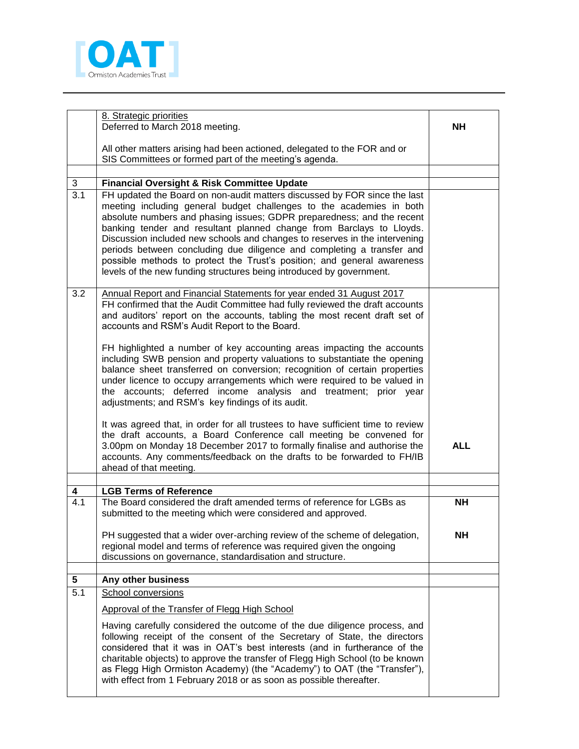

|          | 8. Strategic priorities                                                                                                                                                                                                                                                                                                                                                                                                                                                                                                           |            |
|----------|-----------------------------------------------------------------------------------------------------------------------------------------------------------------------------------------------------------------------------------------------------------------------------------------------------------------------------------------------------------------------------------------------------------------------------------------------------------------------------------------------------------------------------------|------------|
|          | Deferred to March 2018 meeting.                                                                                                                                                                                                                                                                                                                                                                                                                                                                                                   | <b>NH</b>  |
|          | All other matters arising had been actioned, delegated to the FOR and or                                                                                                                                                                                                                                                                                                                                                                                                                                                          |            |
|          | SIS Committees or formed part of the meeting's agenda.                                                                                                                                                                                                                                                                                                                                                                                                                                                                            |            |
|          |                                                                                                                                                                                                                                                                                                                                                                                                                                                                                                                                   |            |
| 3<br>3.1 | Financial Oversight & Risk Committee Update<br>FH updated the Board on non-audit matters discussed by FOR since the last                                                                                                                                                                                                                                                                                                                                                                                                          |            |
|          | meeting including general budget challenges to the academies in both<br>absolute numbers and phasing issues; GDPR preparedness; and the recent<br>banking tender and resultant planned change from Barclays to Lloyds.<br>Discussion included new schools and changes to reserves in the intervening<br>periods between concluding due diligence and completing a transfer and<br>possible methods to protect the Trust's position; and general awareness<br>levels of the new funding structures being introduced by government. |            |
| 3.2      | Annual Report and Financial Statements for year ended 31 August 2017<br>FH confirmed that the Audit Committee had fully reviewed the draft accounts<br>and auditors' report on the accounts, tabling the most recent draft set of<br>accounts and RSM's Audit Report to the Board.                                                                                                                                                                                                                                                |            |
|          | FH highlighted a number of key accounting areas impacting the accounts<br>including SWB pension and property valuations to substantiate the opening<br>balance sheet transferred on conversion; recognition of certain properties<br>under licence to occupy arrangements which were required to be valued in<br>the accounts; deferred income analysis and treatment; prior year<br>adjustments; and RSM's key findings of its audit.                                                                                            |            |
|          | It was agreed that, in order for all trustees to have sufficient time to review<br>the draft accounts, a Board Conference call meeting be convened for<br>3.00pm on Monday 18 December 2017 to formally finalise and authorise the<br>accounts. Any comments/feedback on the drafts to be forwarded to FH/IB<br>ahead of that meeting.                                                                                                                                                                                            | <b>ALL</b> |
| 4        | <b>LGB Terms of Reference</b>                                                                                                                                                                                                                                                                                                                                                                                                                                                                                                     |            |
| 4.1      | The Board considered the draft amended terms of reference for LGBs as<br>submitted to the meeting which were considered and approved.                                                                                                                                                                                                                                                                                                                                                                                             | <b>NH</b>  |
|          | PH suggested that a wider over-arching review of the scheme of delegation,<br>regional model and terms of reference was required given the ongoing<br>discussions on governance, standardisation and structure.                                                                                                                                                                                                                                                                                                                   | <b>NH</b>  |
| 5        | Any other business                                                                                                                                                                                                                                                                                                                                                                                                                                                                                                                |            |
| 5.1      | <b>School conversions</b>                                                                                                                                                                                                                                                                                                                                                                                                                                                                                                         |            |
|          | Approval of the Transfer of Flegg High School                                                                                                                                                                                                                                                                                                                                                                                                                                                                                     |            |
|          | Having carefully considered the outcome of the due diligence process, and<br>following receipt of the consent of the Secretary of State, the directors<br>considered that it was in OAT's best interests (and in furtherance of the<br>charitable objects) to approve the transfer of Flegg High School (to be known<br>as Flegg High Ormiston Academy) (the "Academy") to OAT (the "Transfer"),<br>with effect from 1 February 2018 or as soon as possible thereafter.                                                           |            |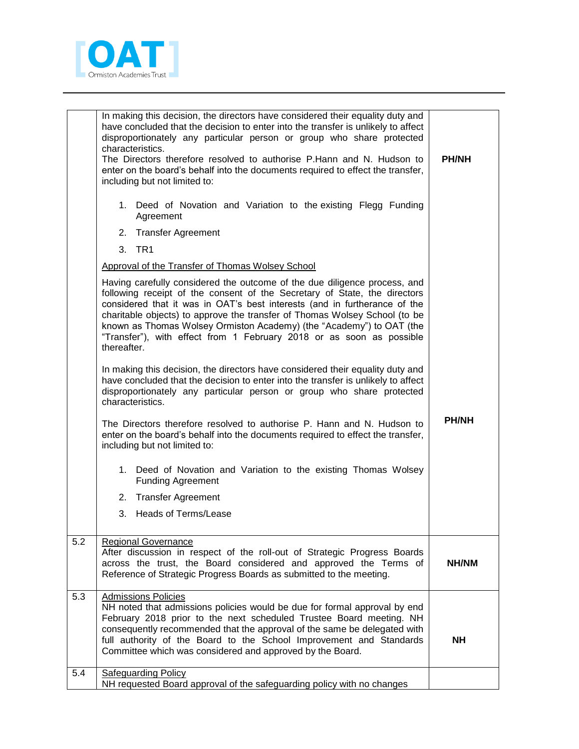

|     | In making this decision, the directors have considered their equality duty and<br>have concluded that the decision to enter into the transfer is unlikely to affect<br>disproportionately any particular person or group who share protected<br>characteristics.<br>The Directors therefore resolved to authorise P.Hann and N. Hudson to<br>enter on the board's behalf into the documents required to effect the transfer,<br>including but not limited to:                    | <b>PH/NH</b> |
|-----|----------------------------------------------------------------------------------------------------------------------------------------------------------------------------------------------------------------------------------------------------------------------------------------------------------------------------------------------------------------------------------------------------------------------------------------------------------------------------------|--------------|
|     | 1. Deed of Novation and Variation to the existing Flegg Funding<br>Agreement                                                                                                                                                                                                                                                                                                                                                                                                     |              |
|     | 2. Transfer Agreement                                                                                                                                                                                                                                                                                                                                                                                                                                                            |              |
|     | 3. TR1                                                                                                                                                                                                                                                                                                                                                                                                                                                                           |              |
|     | Approval of the Transfer of Thomas Wolsey School                                                                                                                                                                                                                                                                                                                                                                                                                                 |              |
|     | Having carefully considered the outcome of the due diligence process, and<br>following receipt of the consent of the Secretary of State, the directors<br>considered that it was in OAT's best interests (and in furtherance of the<br>charitable objects) to approve the transfer of Thomas Wolsey School (to be<br>known as Thomas Wolsey Ormiston Academy) (the "Academy") to OAT (the<br>"Transfer"), with effect from 1 February 2018 or as soon as possible<br>thereafter. |              |
|     | In making this decision, the directors have considered their equality duty and<br>have concluded that the decision to enter into the transfer is unlikely to affect<br>disproportionately any particular person or group who share protected<br>characteristics.                                                                                                                                                                                                                 |              |
|     | The Directors therefore resolved to authorise P. Hann and N. Hudson to<br>enter on the board's behalf into the documents required to effect the transfer,<br>including but not limited to:                                                                                                                                                                                                                                                                                       | <b>PH/NH</b> |
|     | 1. Deed of Novation and Variation to the existing Thomas Wolsey<br><b>Funding Agreement</b>                                                                                                                                                                                                                                                                                                                                                                                      |              |
|     | 2. Transfer Agreement                                                                                                                                                                                                                                                                                                                                                                                                                                                            |              |
|     | 3. Heads of Terms/Lease                                                                                                                                                                                                                                                                                                                                                                                                                                                          |              |
| 5.2 | <b>Regional Governance</b><br>After discussion in respect of the roll-out of Strategic Progress Boards<br>across the trust, the Board considered and approved the Terms of<br>Reference of Strategic Progress Boards as submitted to the meeting.                                                                                                                                                                                                                                | <b>NH/NM</b> |
| 5.3 | <b>Admissions Policies</b><br>NH noted that admissions policies would be due for formal approval by end<br>February 2018 prior to the next scheduled Trustee Board meeting. NH<br>consequently recommended that the approval of the same be delegated with<br>full authority of the Board to the School Improvement and Standards<br>Committee which was considered and approved by the Board.                                                                                   | <b>NH</b>    |
| 5.4 | <b>Safeguarding Policy</b><br>NH requested Board approval of the safeguarding policy with no changes                                                                                                                                                                                                                                                                                                                                                                             |              |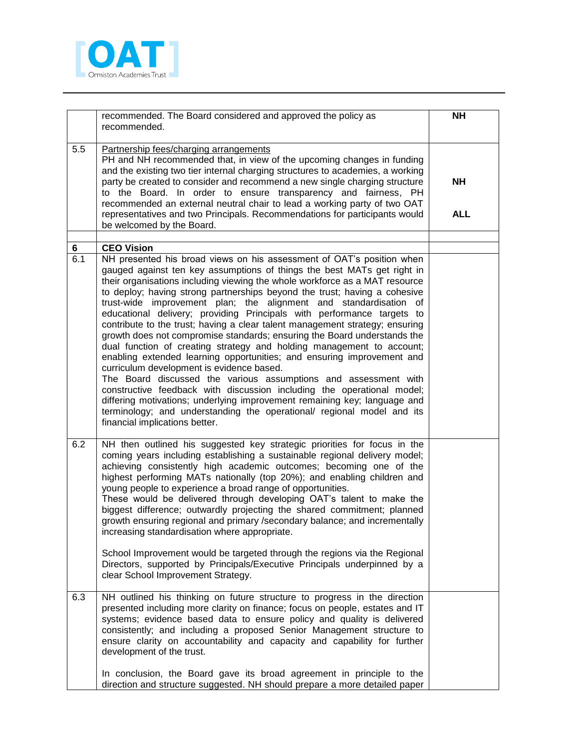

|          | recommended. The Board considered and approved the policy as<br>recommended.                                                                                                                                                                                                                                                                                                                                                                                                                                                                                                                                                                                                                                                                                                                                                                                                                                                                                                                                                                                                                                                                                                       | <b>NH</b>               |
|----------|------------------------------------------------------------------------------------------------------------------------------------------------------------------------------------------------------------------------------------------------------------------------------------------------------------------------------------------------------------------------------------------------------------------------------------------------------------------------------------------------------------------------------------------------------------------------------------------------------------------------------------------------------------------------------------------------------------------------------------------------------------------------------------------------------------------------------------------------------------------------------------------------------------------------------------------------------------------------------------------------------------------------------------------------------------------------------------------------------------------------------------------------------------------------------------|-------------------------|
| 5.5      | Partnership fees/charging arrangements<br>PH and NH recommended that, in view of the upcoming changes in funding<br>and the existing two tier internal charging structures to academies, a working<br>party be created to consider and recommend a new single charging structure<br>to the Board. In order to ensure transparency and fairness, PH<br>recommended an external neutral chair to lead a working party of two OAT<br>representatives and two Principals. Recommendations for participants would<br>be welcomed by the Board.                                                                                                                                                                                                                                                                                                                                                                                                                                                                                                                                                                                                                                          | <b>NH</b><br><b>ALL</b> |
|          |                                                                                                                                                                                                                                                                                                                                                                                                                                                                                                                                                                                                                                                                                                                                                                                                                                                                                                                                                                                                                                                                                                                                                                                    |                         |
| 6<br>6.1 | <b>CEO Vision</b><br>NH presented his broad views on his assessment of OAT's position when<br>gauged against ten key assumptions of things the best MATs get right in<br>their organisations including viewing the whole workforce as a MAT resource<br>to deploy; having strong partnerships beyond the trust; having a cohesive<br>trust-wide improvement plan; the alignment and standardisation of<br>educational delivery; providing Principals with performance targets to<br>contribute to the trust; having a clear talent management strategy; ensuring<br>growth does not compromise standards; ensuring the Board understands the<br>dual function of creating strategy and holding management to account;<br>enabling extended learning opportunities; and ensuring improvement and<br>curriculum development is evidence based.<br>The Board discussed the various assumptions and assessment with<br>constructive feedback with discussion including the operational model;<br>differing motivations; underlying improvement remaining key; language and<br>terminology; and understanding the operational/ regional model and its<br>financial implications better. |                         |
| 6.2      | NH then outlined his suggested key strategic priorities for focus in the<br>coming years including establishing a sustainable regional delivery model;<br>achieving consistently high academic outcomes; becoming one of the<br>highest performing MATs nationally (top 20%); and enabling children and<br>young people to experience a broad range of opportunities.<br>These would be delivered through developing OAT's talent to make the<br>biggest difference; outwardly projecting the shared commitment; planned<br>growth ensuring regional and primary / secondary balance; and incrementally<br>increasing standardisation where appropriate.<br>School Improvement would be targeted through the regions via the Regional<br>Directors, supported by Principals/Executive Principals underpinned by a<br>clear School Improvement Strategy.                                                                                                                                                                                                                                                                                                                            |                         |
| 6.3      | NH outlined his thinking on future structure to progress in the direction<br>presented including more clarity on finance; focus on people, estates and IT<br>systems; evidence based data to ensure policy and quality is delivered<br>consistently; and including a proposed Senior Management structure to<br>ensure clarity on accountability and capacity and capability for further<br>development of the trust.                                                                                                                                                                                                                                                                                                                                                                                                                                                                                                                                                                                                                                                                                                                                                              |                         |
|          | In conclusion, the Board gave its broad agreement in principle to the<br>direction and structure suggested. NH should prepare a more detailed paper                                                                                                                                                                                                                                                                                                                                                                                                                                                                                                                                                                                                                                                                                                                                                                                                                                                                                                                                                                                                                                |                         |